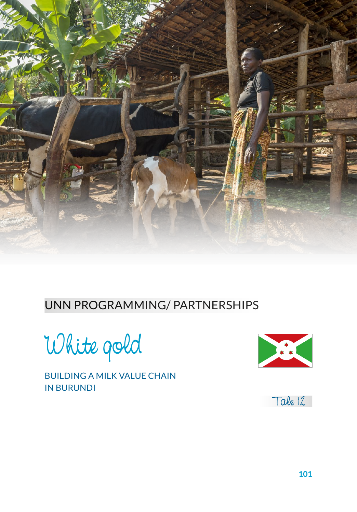

#### UNN PROGRAMMING/ PARTNERSHIPS

White gold

BUILDING A MILK VALUE CHAIN IN BURUNDI



Tale 12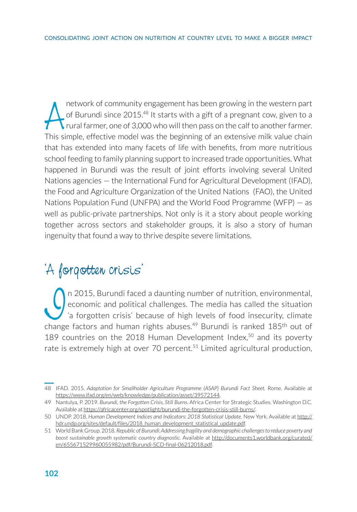network of community engagement has been growing in the western part<br>of Burundi since 2015.<sup>48</sup> It starts with a gift of a pregnant cow, given to a<br>rural farmer, one of 3,000 who will then pass on the calf to another farme network of community engagement has been growing in the western part L of Burundi since  $2015^{48}$  It starts with a gift of a pregnant cow, given to a  $\sqrt{\ }$ rural farmer, one of 3,000 who will then pass on the calf to another farmer. that has extended into many facets of life with benefits, from more nutritious school feeding to family planning support to increased trade opportunities. What happened in Burundi was the result of joint efforts involving several United Nations agencies — the International Fund for Agricultural Development (IFAD), the Food and Agriculture Organization of the United Nations (FAO), the United Nations Population Fund (UNFPA) and the World Food Programme (WFP) — as well as public-private partnerships. Not only is it a story about people working together across sectors and stakeholder groups, it is also a story of human ingenuity that found a way to thrive despite severe limitations.

### 'A forgotten crisis'

In 2015, Burundi faced a daunting number of nutrition, environmental,<br>
<sup>1</sup> a forgotten crisis' because of high levels of food insecurity, climate<br>
change factors and human rights abuses<sup>49</sup> Burundi is ranked 185<sup>th</sup> out of economic and political challenges. The media has called the situation 'a forgotten crisis' because of high levels of food insecurity, climate change factors and human rights abuses.<sup>49</sup> Burundi is ranked 185<sup>th</sup> out of 189 countries on the 2018 Human Development Index, $50$  and its poverty rate is extremely high at over 70 percent.<sup>51</sup> Limited agricultural production,

<sup>48</sup> IFAD. 2015. *Adaptation for Smallholder Agriculture Programme (ASAP) Burundi Fact Sheet.* Rome. Available at https://www.ifad.org/en/web/knowledge/publication/asset/39572144.

<sup>49</sup> Nantulya, P. 2019. *Burundi, the Forgotten Crisis, Still Burns.* Africa Center for Strategic Studies. Washington D.C. Available at https://africacenter.org/spotlight/burundi-the-forgotten-crisis-still-burns/.

<sup>50</sup> UNDP. 2018. *Human Development Indices and Indicators: 2018 Statistical Update.* New York. Available at http:// hdr.undp.org/sites/default/files/2018\_human\_development\_statistical\_update.pdf.

<sup>51</sup> World Bank Group. 2018. *Republic of Burundi: Addressing fragility and demographic challenges to reduce poverty and boost sustainable growth systematic country diagnostic.* Available at [http://documents1.worldbank.org/curated/](http://documents1.worldbank.org/curated/en/655671529960055982/pdf/Burundi-SCD-final-06212018.pdf) [en/655671529960055982/pdf/Burundi-SCD-final-06212018.pdf](http://documents1.worldbank.org/curated/en/655671529960055982/pdf/Burundi-SCD-final-06212018.pdf).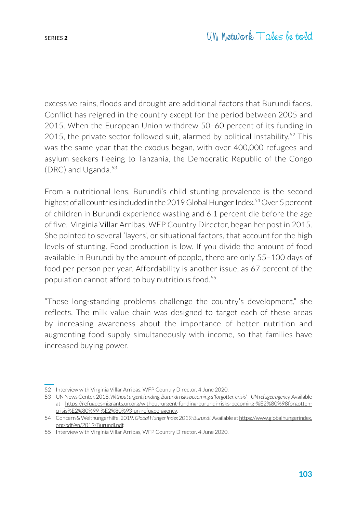excessive rains, floods and drought are additional factors that Burundi faces. Conflict has reigned in the country except for the period between 2005 and 2015. When the European Union withdrew 50–60 percent of its funding in 2015, the private sector followed suit, alarmed by political instability.<sup>52</sup> This was the same year that the exodus began, with over 400,000 refugees and asylum seekers fleeing to Tanzania, the Democratic Republic of the Congo (DRC) and Uganda. $53$ 

From a nutritional lens, Burundi's child stunting prevalence is the second highest of all countries included in the 2019 Global Hunger Index.<sup>54</sup> Over 5 percent of children in Burundi experience wasting and 6.1 percent die before the age of five. Virginia Villar Arribas, WFP Country Director, began her post in 2015. She pointed to several 'layers', or situational factors, that account for the high levels of stunting. Food production is low. If you divide the amount of food available in Burundi by the amount of people, there are only 55–100 days of food per person per year. Affordability is another issue, as 67 percent of the population cannot afford to buy nutritious food.<sup>55</sup>

"These long-standing problems challenge the country's development," she reflects. The milk value chain was designed to target each of these areas by increasing awareness about the importance of better nutrition and augmenting food supply simultaneously with income, so that families have increased buying power.

<sup>52</sup> Interview with Virginia Villar Arribas, WFP Country Director. 4 June 2020.

<sup>53</sup> UN News Center. 2018. *Without urgent funding, Burundi risks becoming a 'forgotten crisis' – UN refugee agency.* Available at https://refugeesmigrants.un.org/without-urgent-funding-burundi-risks-becoming-%E2%80%98forgottencrisis%E2%80%99-%E2%80%93-un-refugee-agency.

<sup>54</sup> Concern & Welthungerhilfe. 2019. *Global Hunger Index 2019: Burundi.* Available at [https://www.globalhungerindex.](https://www.globalhungerindex.org/pdf/en/2019/Burundi.pdf) [org/pdf/en/2019/Burundi.pdf.](https://www.globalhungerindex.org/pdf/en/2019/Burundi.pdf)

<sup>55</sup> Interview with Virginia Villar Arribas, WFP Country Director. 4 June 2020.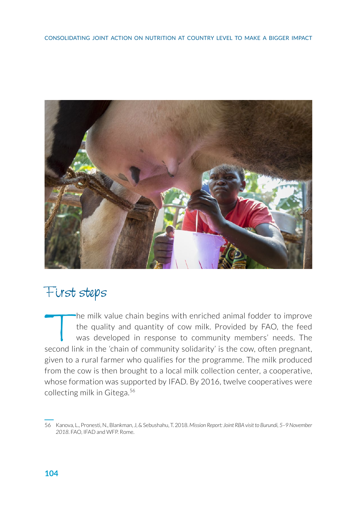

### First steps

The milk value chain begins with enriched animal fodder to improve<br>the quality and quantity of cow milk. Provided by FAO, the feed<br>was developed in response to community members' needs. The<br>second link in the 'chain of com the quality and quantity of cow milk. Provided by FAO, the feed was developed in response to community members' needs. The second link in the 'chain of community solidarity' is the cow, often pregnant, given to a rural farmer who qualifies for the programme. The milk produced from the cow is then brought to a local milk collection center, a cooperative, whose formation was supported by IFAD. By 2016, twelve cooperatives were collecting milk in Gitega.<sup>56</sup>

<sup>56</sup> Kanova, L., Pronesti, N., Blankman, J, & Sebushahu, T. 2018. *Mission Report: Joint RBA visit to Burundi, 5–9 November 2018*. FAO, IFAD and WFP. Rome.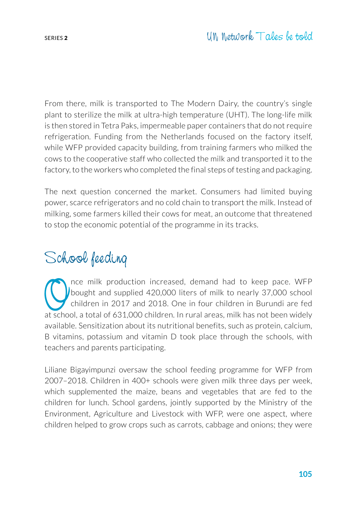From there, milk is transported to The Modern Dairy, the country's single plant to sterilize the milk at ultra-high temperature (UHT). The long-life milk is then stored in Tetra Paks, impermeable paper containers that do not require refrigeration. Funding from the Netherlands focused on the factory itself, while WFP provided capacity building, from training farmers who milked the cows to the cooperative staff who collected the milk and transported it to the factory, to the workers who completed the final steps of testing and packaging.

The next question concerned the market. Consumers had limited buying power, scarce refrigerators and no cold chain to transport the milk. Instead of milking, some farmers killed their cows for meat, an outcome that threatened to stop the economic potential of the programme in its tracks.

## School feeding

The milk production increased, demand had to keep pace. WFP<br>bought and supplied 420,000 liters of milk to nearly 37,000 school<br>children in 2017 and 2018. One in four children in Burundi are fed<br>at school a total of 631,000 bought and supplied 420,000 liters of milk to nearly 37,000 school children in 2017 and 2018. One in four children in Burundi are fed at school, a total of 631,000 children. In rural areas, milk has not been widely available. Sensitization about its nutritional benefits, such as protein, calcium, B vitamins, potassium and vitamin D took place through the schools, with teachers and parents participating.

Liliane Bigayimpunzi oversaw the school feeding programme for WFP from 2007–2018. Children in 400+ schools were given milk three days per week, which supplemented the maize, beans and vegetables that are fed to the children for lunch. School gardens, jointly supported by the Ministry of the Environment, Agriculture and Livestock with WFP, were one aspect, where children helped to grow crops such as carrots, cabbage and onions; they were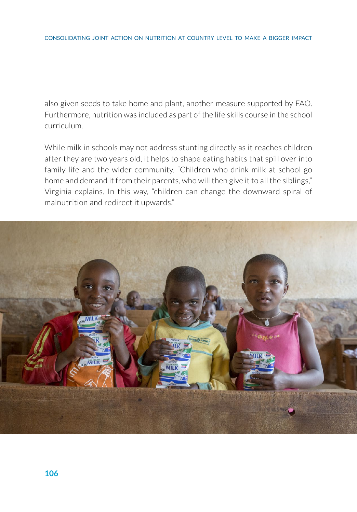also given seeds to take home and plant, another measure supported by FAO. Furthermore, nutrition was included as part of the life skills course in the school curriculum.

While milk in schools may not address stunting directly as it reaches children after they are two years old, it helps to shape eating habits that spill over into family life and the wider community. "Children who drink milk at school go home and demand it from their parents, who will then give it to all the siblings," Virginia explains. In this way, "children can change the downward spiral of malnutrition and redirect it upwards."

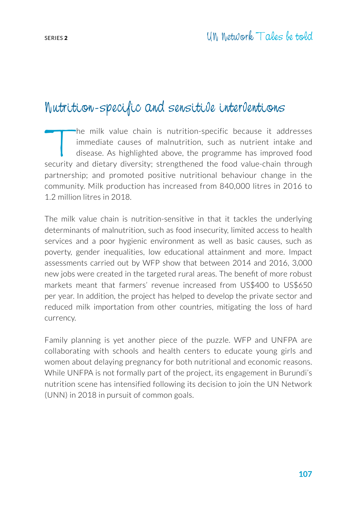### Nutrition-specific and sensitive interventions

The milk value chain is nutrition-specific because it addresses<br>immediate causes of malnutrition, such as nutrient intake and<br>disease. As highlighted above, the programme has improved food<br>security and dietary diversity: s immediate causes of malnutrition, such as nutrient intake and disease. As highlighted above, the programme has improved food security and dietary diversity; strengthened the food value-chain through partnership; and promoted positive nutritional behaviour change in the community. Milk production has increased from 840,000 litres in 2016 to 1.2 million litres in 2018.

The milk value chain is nutrition-sensitive in that it tackles the underlying determinants of malnutrition, such as food insecurity, limited access to health services and a poor hygienic environment as well as basic causes, such as poverty, gender inequalities, low educational attainment and more. Impact assessments carried out by WFP show that between 2014 and 2016, 3,000 new jobs were created in the targeted rural areas. The benefit of more robust markets meant that farmers' revenue increased from US\$400 to US\$650 per year. In addition, the project has helped to develop the private sector and reduced milk importation from other countries, mitigating the loss of hard currency.

Family planning is yet another piece of the puzzle. WFP and UNFPA are collaborating with schools and health centers to educate young girls and women about delaying pregnancy for both nutritional and economic reasons. While UNFPA is not formally part of the project, its engagement in Burundi's nutrition scene has intensified following its decision to join the UN Network (UNN) in 2018 in pursuit of common goals.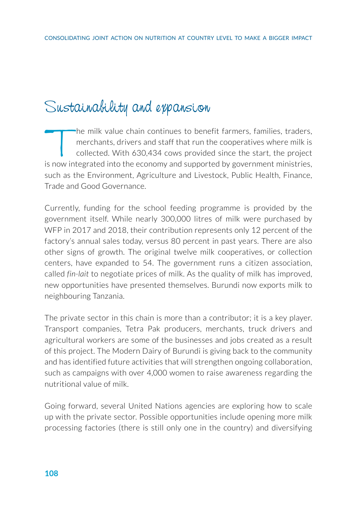# Sustainability and expansion

The milk value chain continues to benefit farmers, families, traders,<br>merchants, drivers and staff that run the cooperatives where milk is<br>collected. With 630,434 cows provided since the start, the project<br>s now integrated merchants, drivers and staff that run the cooperatives where milk is collected. With 630,434 cows provided since the start, the project is now integrated into the economy and supported by government ministries, such as the Environment, Agriculture and Livestock, Public Health, Finance, Trade and Good Governance.

Currently, funding for the school feeding programme is provided by the government itself. While nearly 300,000 litres of milk were purchased by WFP in 2017 and 2018, their contribution represents only 12 percent of the factory's annual sales today, versus 80 percent in past years. There are also other signs of growth. The original twelve milk cooperatives, or collection centers, have expanded to 54. The government runs a citizen association, called *fin-lait* to negotiate prices of milk. As the quality of milk has improved, new opportunities have presented themselves. Burundi now exports milk to neighbouring Tanzania.

The private sector in this chain is more than a contributor; it is a key player. Transport companies, Tetra Pak producers, merchants, truck drivers and agricultural workers are some of the businesses and jobs created as a result of this project. The Modern Dairy of Burundi is giving back to the community and has identified future activities that will strengthen ongoing collaboration, such as campaigns with over 4,000 women to raise awareness regarding the nutritional value of milk.

Going forward, several United Nations agencies are exploring how to scale up with the private sector. Possible opportunities include opening more milk processing factories (there is still only one in the country) and diversifying